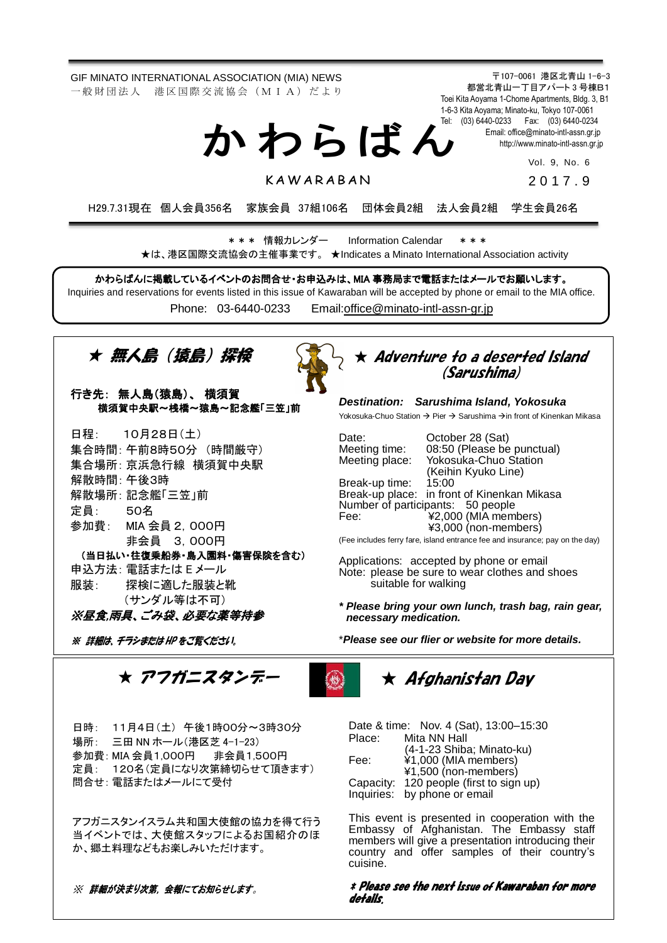GIF MINATO INTERNATIONAL ASSOCIATION (MIA) NEWS 一 般 財 団 法 人 港 区 国 際 交 流 協 会 (M I A) だ よ り

か わ ら ば ん

**KAWARARAN** 

〒107-0061 港区北青山 1-6-3 都営北青山一丁目アパート 3 号棟B1 Toei Kita Aoyama 1-Chome Apartments, Bldg. 3, B1 1-6-3 Kita Aoyama; Minato-ku, Tokyo 107-0061 Tel: (03) 6440-0233 Fax: (03) 6440-0234 Email[: office@minato-intl-assn.gr.jp](mailto:office@minato-intl-assn.gr.jp) [http://www.minato-intl-assn.gr.jp](http://www.minato-intl-assn.gr.jp/)

> Vol. 9, No. 6 2 0 1 7 . 9

H29.7.31現在 個人会員356名 家族会員 37組106名 団体会員2組 法人会員2組 学生会員26名

\* \* \* 情報カレンダー Information Calendar \* \* \* ★は、港区国際交流協会の主催事業です。 ★Indicates a Minato International Association activity

かわらばんに掲載しているイベントのお問合せ・お申込みは、MIA 事務局まで電話またはメールでお願いします。 Inquiries and reservations for events listed in this issue of Kawaraban will be accepted by phone or email to the MIA office.

Phone: [03-6440-0233](mailto:TEL:%0903-6440-0233) Email[:office@minato-intl-assn-gr.jp](mailto:office@minato-intl-assn-gr.jp)



#### 行き先: 無人島(猿島)、 横須賀 横須賀中央駅~桟橋~猿島~記念艦「三笠」前

 (当日払い・往復乗船券・島入園料・傷害保険を含む) 日程: 10月28日(土) 集合時間: 午前8時50分 (時間厳守) 集合場所: 京浜急行線 横須賀中央駅 解散時間: 午後3時 解散場所:記念艦「三笠」前 定員: 50名 参加費: MIA 会員 2,000円 非会員 3,000円 申込方法: 電話または E メール 服装: 探検に適した服装と靴 (サンダル等は不可) insurance; pay on the day)

#### ※昼食,雨具、ごみ袋、必要な薬等持参

※ 詳細は、チラシまたは HP をご覧ください。

### $\star$  Adventure to a deserted Island (Sarushima)

*Destination: Sarushima Island, Yokosuka*

Yokosuka-Chuo Station  $\rightarrow$  Pier  $\rightarrow$  Sarushima  $\rightarrow$  in front of Kinenkan Mikasa

Date: October 28 (Sat)<br>Meeting time: 08:50 (Please be Meeting time: 08:50 (Please be punctual)<br>Meeting place: Yokosuka-Chuo Station Yokosuka-Chuo Station (Keihin Kyuko Line) Break-up time: 15:00 Break-up place: in front of Kinenkan Mikasa Number of participants: 50 people Fee: ¥2,000 (MIA members) ¥3,000 (non-members) (Fee includes ferry fare, island entrance fee and insurance; pay on the day)

Applications: accepted by phone or email Note: please be sure to wear clothes and shoes suitable for walking

*\* Please bring your own lunch, trash bag, rain gear, necessary medication.*

\**Please see our flier or website for more details.*

★ アフガニスタンデー



# ★ Afghanistan Day

日時: 11月4日(土) 午後1時00分~3時30分 場所: 三田 NN ホール(港区芝 4-1-23) 参加費: MIA 会員1,000円 非会員1,500円 定員: 120名(定員になり次第締切らせて頂きます) 問合せ: 電話またはメールにて受付

アフガニスタンイスラム共和国大使館の協力を得て行う 当イベントでは、大使館スタッフによるお国紹介のほ か、郷土料理などもお楽しみいただけます。

※ 詳細が決まり次第, 会報にてお知らせします。

Date & time: Nov. 4 (Sat), 13:00–15:30 Place: Mita NN Hall (4-1-23 Shiba; Minato-ku) Fee: ¥1,000 (MIA members) ¥1,500 (non-members) Capacity: 120 people (first to sign up) Inquiries: by phone or email

This event is presented in cooperation with the Embassy of Afghanistan. The Embassy staff members will give a presentation introducing their country and offer samples of their country's cuisine.

#### \* Please see the next issue of Kawaraban for more details.